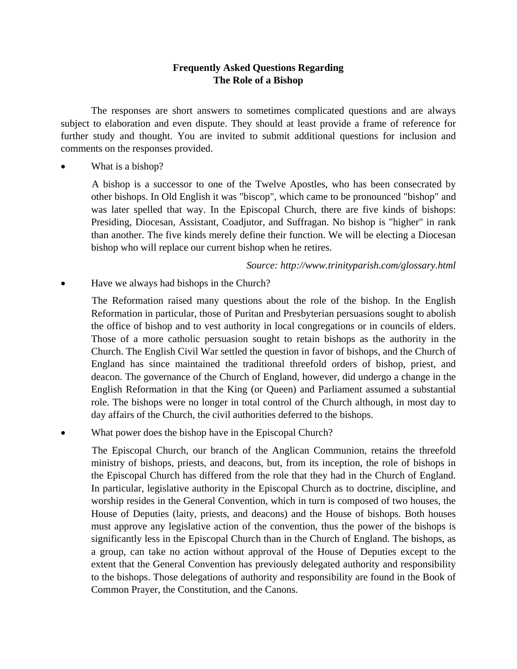## **Frequently Asked Questions Regarding The Role of a Bishop**

The responses are short answers to sometimes complicated questions and are always subject to elaboration and even dispute. They should at least provide a frame of reference for further study and thought. You are invited to submit additional questions for inclusion and comments on the responses provided.

What is a bishop?

A bishop is a successor to one of the Twelve Apostles, who has been consecrated by other bishops. In Old English it was "biscop", which came to be pronounced "bishop" and was later spelled that way. In the Episcopal Church, there are five kinds of bishops: Presiding, Diocesan, Assistant, Coadjutor, and Suffragan. No bishop is "higher" in rank than another. The five kinds merely define their function. We will be electing a Diocesan bishop who will replace our current bishop when he retires.

*Source: http://www.trinityparish.com/glossary.html* 

Have we always had bishops in the Church?

The Reformation raised many questions about the role of the bishop. In the English Reformation in particular, those of Puritan and Presbyterian persuasions sought to abolish the office of bishop and to vest authority in local congregations or in councils of elders. Those of a more catholic persuasion sought to retain bishops as the authority in the Church. The English Civil War settled the question in favor of bishops, and the Church of England has since maintained the traditional threefold orders of bishop, priest, and deacon. The governance of the Church of England, however, did undergo a change in the English Reformation in that the King (or Queen) and Parliament assumed a substantial role. The bishops were no longer in total control of the Church although, in most day to day affairs of the Church, the civil authorities deferred to the bishops.

What power does the bishop have in the Episcopal Church?

The Episcopal Church, our branch of the Anglican Communion, retains the threefold ministry of bishops, priests, and deacons, but, from its inception, the role of bishops in the Episcopal Church has differed from the role that they had in the Church of England. In particular, legislative authority in the Episcopal Church as to doctrine, discipline, and worship resides in the General Convention, which in turn is composed of two houses, the House of Deputies (laity, priests, and deacons) and the House of bishops. Both houses must approve any legislative action of the convention, thus the power of the bishops is significantly less in the Episcopal Church than in the Church of England. The bishops, as a group, can take no action without approval of the House of Deputies except to the extent that the General Convention has previously delegated authority and responsibility to the bishops. Those delegations of authority and responsibility are found in the Book of Common Prayer, the Constitution, and the Canons.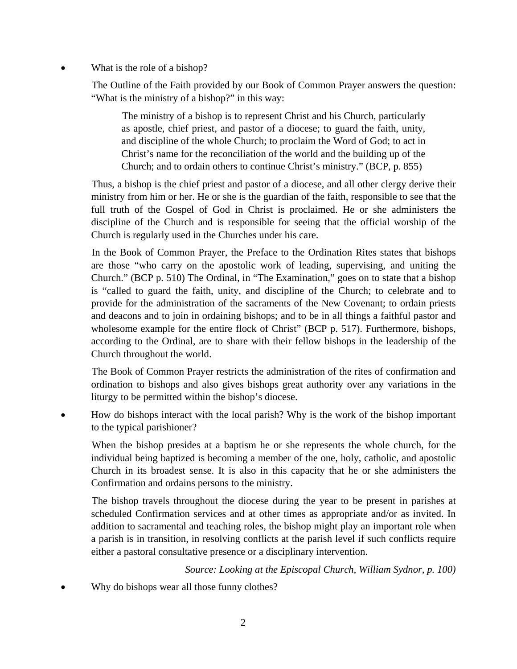What is the role of a bishop?

The Outline of the Faith provided by our Book of Common Prayer answers the question: "What is the ministry of a bishop?" in this way:

The ministry of a bishop is to represent Christ and his Church, particularly as apostle, chief priest, and pastor of a diocese; to guard the faith, unity, and discipline of the whole Church; to proclaim the Word of God; to act in Christ's name for the reconciliation of the world and the building up of the Church; and to ordain others to continue Christ's ministry." (BCP, p. 855)

Thus, a bishop is the chief priest and pastor of a diocese, and all other clergy derive their ministry from him or her. He or she is the guardian of the faith, responsible to see that the full truth of the Gospel of God in Christ is proclaimed. He or she administers the discipline of the Church and is responsible for seeing that the official worship of the Church is regularly used in the Churches under his care.

In the Book of Common Prayer, the Preface to the Ordination Rites states that bishops are those "who carry on the apostolic work of leading, supervising, and uniting the Church." (BCP p. 510) The Ordinal, in "The Examination," goes on to state that a bishop is "called to guard the faith, unity, and discipline of the Church; to celebrate and to provide for the administration of the sacraments of the New Covenant; to ordain priests and deacons and to join in ordaining bishops; and to be in all things a faithful pastor and wholesome example for the entire flock of Christ" (BCP p. 517). Furthermore, bishops, according to the Ordinal, are to share with their fellow bishops in the leadership of the Church throughout the world.

The Book of Common Prayer restricts the administration of the rites of confirmation and ordination to bishops and also gives bishops great authority over any variations in the liturgy to be permitted within the bishop's diocese.

• How do bishops interact with the local parish? Why is the work of the bishop important to the typical parishioner?

When the bishop presides at a baptism he or she represents the whole church, for the individual being baptized is becoming a member of the one, holy, catholic, and apostolic Church in its broadest sense. It is also in this capacity that he or she administers the Confirmation and ordains persons to the ministry.

The bishop travels throughout the diocese during the year to be present in parishes at scheduled Confirmation services and at other times as appropriate and/or as invited. In addition to sacramental and teaching roles, the bishop might play an important role when a parish is in transition, in resolving conflicts at the parish level if such conflicts require either a pastoral consultative presence or a disciplinary intervention.

*Source: Looking at the Episcopal Church, William Sydnor, p. 100)* 

Why do bishops wear all those funny clothes?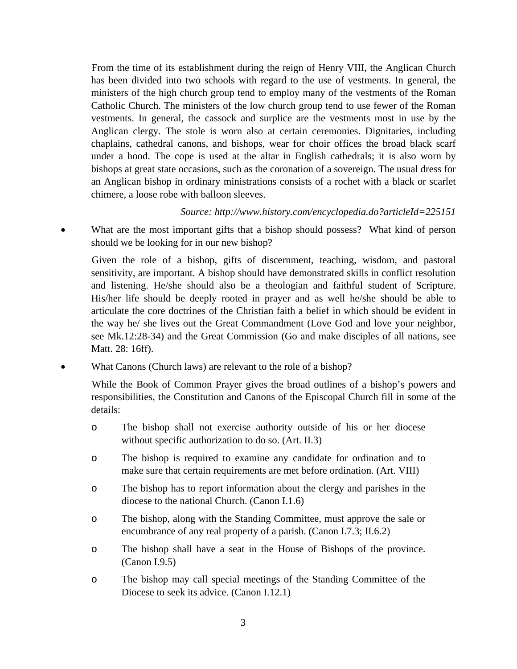From the time of its establishment during the reign of Henry VIII, the Anglican Church has been divided into two schools with regard to the use of vestments. In general, the ministers of the high church group tend to employ many of the vestments of the Roman Catholic Church. The ministers of the low church group tend to use fewer of the Roman vestments. In general, the cassock and surplice are the vestments most in use by the Anglican clergy. The stole is worn also at certain ceremonies. Dignitaries, including chaplains, cathedral canons, and bishops, wear for choir offices the broad black scarf under a hood. The cope is used at the altar in English cathedrals; it is also worn by bishops at great state occasions, such as the coronation of a sovereign. The usual dress for an Anglican bishop in ordinary ministrations consists of a rochet with a black or scarlet chimere, a loose robe with balloon sleeves.

## *Source: http://www.history.com/encyclopedia.do?articleId=225151*

What are the most important gifts that a bishop should possess? What kind of person should we be looking for in our new bishop?

Given the role of a bishop, gifts of discernment, teaching, wisdom, and pastoral sensitivity, are important. A bishop should have demonstrated skills in conflict resolution and listening. He/she should also be a theologian and faithful student of Scripture. His/her life should be deeply rooted in prayer and as well he/she should be able to articulate the core doctrines of the Christian faith a belief in which should be evident in the way he/ she lives out the Great Commandment (Love God and love your neighbor, see Mk.12:28-34) and the Great Commission (Go and make disciples of all nations, see Matt. 28: 16ff).

• What Canons (Church laws) are relevant to the role of a bishop?

While the Book of Common Prayer gives the broad outlines of a bishop's powers and responsibilities, the Constitution and Canons of the Episcopal Church fill in some of the details:

- o The bishop shall not exercise authority outside of his or her diocese without specific authorization to do so. (Art. II.3)
- o The bishop is required to examine any candidate for ordination and to make sure that certain requirements are met before ordination. (Art. VIII)
- o The bishop has to report information about the clergy and parishes in the diocese to the national Church. (Canon I.1.6)
- o The bishop, along with the Standing Committee, must approve the sale or encumbrance of any real property of a parish. (Canon I.7.3; II.6.2)
- o The bishop shall have a seat in the House of Bishops of the province. (Canon I.9.5)
- o The bishop may call special meetings of the Standing Committee of the Diocese to seek its advice. (Canon I.12.1)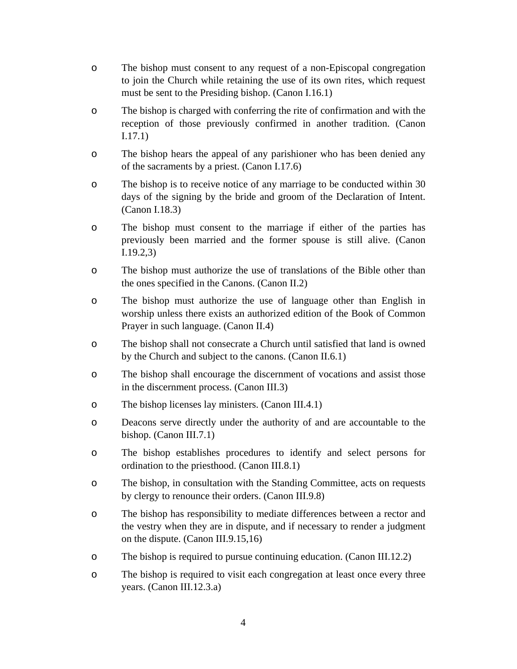- o The bishop must consent to any request of a non-Episcopal congregation to join the Church while retaining the use of its own rites, which request must be sent to the Presiding bishop. (Canon I.16.1)
- o The bishop is charged with conferring the rite of confirmation and with the reception of those previously confirmed in another tradition. (Canon I.17.1)
- o The bishop hears the appeal of any parishioner who has been denied any of the sacraments by a priest. (Canon I.17.6)
- o The bishop is to receive notice of any marriage to be conducted within 30 days of the signing by the bride and groom of the Declaration of Intent. (Canon I.18.3)
- o The bishop must consent to the marriage if either of the parties has previously been married and the former spouse is still alive. (Canon I.19.2,3)
- o The bishop must authorize the use of translations of the Bible other than the ones specified in the Canons. (Canon II.2)
- o The bishop must authorize the use of language other than English in worship unless there exists an authorized edition of the Book of Common Prayer in such language. (Canon II.4)
- o The bishop shall not consecrate a Church until satisfied that land is owned by the Church and subject to the canons. (Canon II.6.1)
- o The bishop shall encourage the discernment of vocations and assist those in the discernment process. (Canon III.3)
- o The bishop licenses lay ministers. (Canon III.4.1)
- o Deacons serve directly under the authority of and are accountable to the bishop. (Canon III.7.1)
- o The bishop establishes procedures to identify and select persons for ordination to the priesthood. (Canon III.8.1)
- o The bishop, in consultation with the Standing Committee, acts on requests by clergy to renounce their orders. (Canon III.9.8)
- o The bishop has responsibility to mediate differences between a rector and the vestry when they are in dispute, and if necessary to render a judgment on the dispute. (Canon III.9.15,16)
- o The bishop is required to pursue continuing education. (Canon III.12.2)
- o The bishop is required to visit each congregation at least once every three years. (Canon III.12.3.a)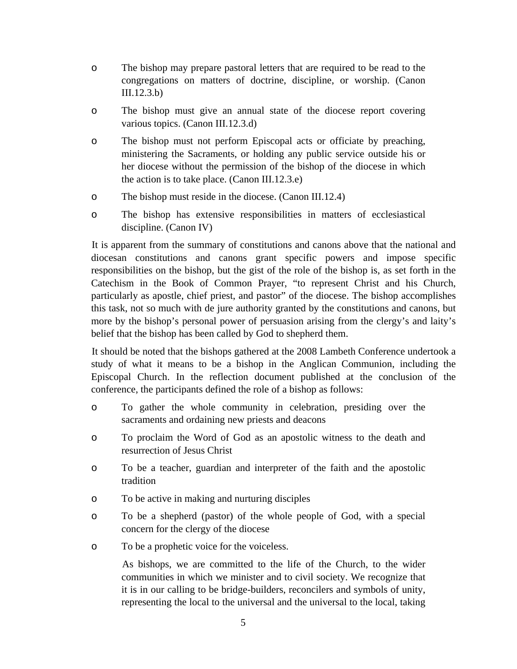- o The bishop may prepare pastoral letters that are required to be read to the congregations on matters of doctrine, discipline, or worship. (Canon III.12.3.b)
- o The bishop must give an annual state of the diocese report covering various topics. (Canon III.12.3.d)
- o The bishop must not perform Episcopal acts or officiate by preaching, ministering the Sacraments, or holding any public service outside his or her diocese without the permission of the bishop of the diocese in which the action is to take place. (Canon III.12.3.e)
- o The bishop must reside in the diocese. (Canon III.12.4)
- o The bishop has extensive responsibilities in matters of ecclesiastical discipline. (Canon IV)

It is apparent from the summary of constitutions and canons above that the national and diocesan constitutions and canons grant specific powers and impose specific responsibilities on the bishop, but the gist of the role of the bishop is, as set forth in the Catechism in the Book of Common Prayer, "to represent Christ and his Church, particularly as apostle, chief priest, and pastor" of the diocese. The bishop accomplishes this task, not so much with de jure authority granted by the constitutions and canons, but more by the bishop's personal power of persuasion arising from the clergy's and laity's belief that the bishop has been called by God to shepherd them.

It should be noted that the bishops gathered at the 2008 Lambeth Conference undertook a study of what it means to be a bishop in the Anglican Communion, including the Episcopal Church. In the reflection document published at the conclusion of the conference, the participants defined the role of a bishop as follows:

- o To gather the whole community in celebration, presiding over the sacraments and ordaining new priests and deacons
- o To proclaim the Word of God as an apostolic witness to the death and resurrection of Jesus Christ
- o To be a teacher, guardian and interpreter of the faith and the apostolic tradition
- o To be active in making and nurturing disciples
- o To be a shepherd (pastor) of the whole people of God, with a special concern for the clergy of the diocese
- o To be a prophetic voice for the voiceless.

As bishops, we are committed to the life of the Church, to the wider communities in which we minister and to civil society. We recognize that it is in our calling to be bridge-builders, reconcilers and symbols of unity, representing the local to the universal and the universal to the local, taking